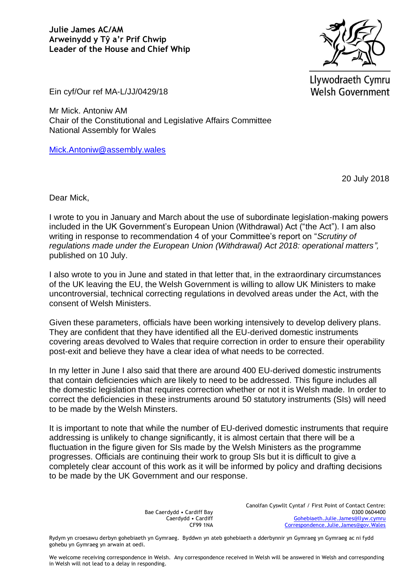

Llywodraeth Cymru **Welsh Government** 

Ein cyf/Our ref MA-L/JJ/0429/18

Mr Mick. Antoniw AM Chair of the Constitutional and Legislative Affairs Committee National Assembly for Wales

[Mick.Antoniw@assembly.wales](mailto:Mick.Antoniw@assembly.wales)

20 July 2018

Dear Mick,

I wrote to you in January and March about the use of subordinate legislation-making powers included in the UK Government's European Union (Withdrawal) Act ("the Act"). I am also writing in response to recommendation 4 of your Committee's report on "*Scrutiny of regulations made under the European Union (Withdrawal) Act 2018: operational matters",* published on 10 July.

I also wrote to you in June and stated in that letter that, in the extraordinary circumstances of the UK leaving the EU, the Welsh Government is willing to allow UK Ministers to make uncontroversial, technical correcting regulations in devolved areas under the Act, with the consent of Welsh Ministers.

Given these parameters, officials have been working intensively to develop delivery plans. They are confident that they have identified all the EU-derived domestic instruments covering areas devolved to Wales that require correction in order to ensure their operability post-exit and believe they have a clear idea of what needs to be corrected.

In my letter in June I also said that there are around 400 EU-derived domestic instruments that contain deficiencies which are likely to need to be addressed. This figure includes all the domestic legislation that requires correction whether or not it is Welsh made. In order to correct the deficiencies in these instruments around 50 statutory instruments (SIs) will need to be made by the Welsh Minsters.

It is important to note that while the number of EU-derived domestic instruments that require addressing is unlikely to change significantly, it is almost certain that there will be a fluctuation in the figure given for SIs made by the Welsh Ministers as the programme progresses. Officials are continuing their work to group SIs but it is difficult to give a completely clear account of this work as it will be informed by policy and drafting decisions to be made by the UK Government and our response.

> Bae Caerdydd • Cardiff Bay Caerdydd • Cardiff CF99 1NA

Canolfan Cyswllt Cyntaf / First Point of Contact Centre: 0300 0604400 [Gohebiaeth.Julie.James@llyw.cymru](mailto:Gohebiaeth.Julie.James@llyw.cymru) [Correspondence.Julie.James@gov.Wales](mailto:Correspondence.Julie.James@gov.Wales)

Rydym yn croesawu derbyn gohebiaeth yn Gymraeg. Byddwn yn ateb gohebiaeth a dderbynnir yn Gymraeg yn Gymraeg ac ni fydd gohebu yn Gymraeg yn arwain at oedi.

We welcome receiving correspondence in Welsh. Any correspondence received in Welsh will be answered in Welsh and corresponding in Welsh will not lead to a delay in responding.